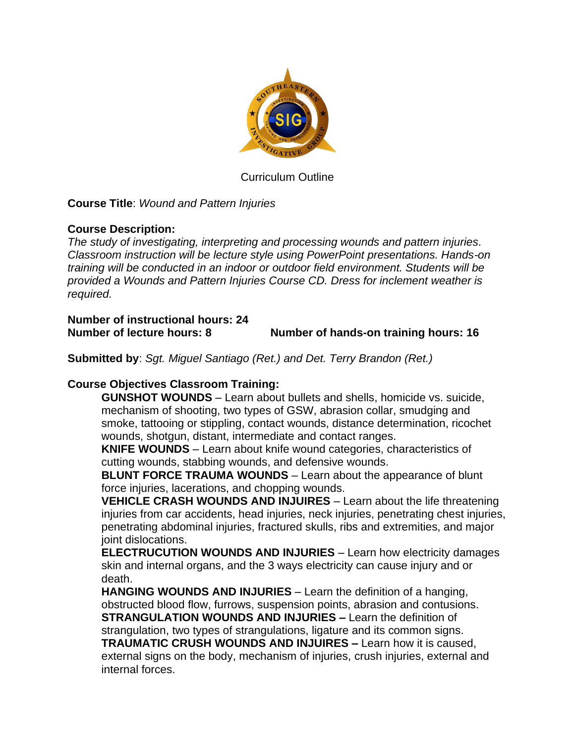

Curriculum Outline

**Course Title**: *Wound and Pattern Injuries*

## **Course Description:**

*The study of investigating, interpreting and processing wounds and pattern injuries. Classroom instruction will be lecture style using PowerPoint presentations. Hands-on training will be conducted in an indoor or outdoor field environment. Students will be provided a Wounds and Pattern Injuries Course CD. Dress for inclement weather is required.*

**Number of instructional hours: 24 Number of lecture hours: 8 Number of hands-on training hours: 16**

**Submitted by**: *Sgt. Miguel Santiago (Ret.) and Det. Terry Brandon (Ret.)*

## **Course Objectives Classroom Training:**

**GUNSHOT WOUNDS** – Learn about bullets and shells, homicide vs. suicide, mechanism of shooting, two types of GSW, abrasion collar, smudging and smoke, tattooing or stippling, contact wounds, distance determination, ricochet wounds, shotgun, distant, intermediate and contact ranges.

**KNIFE WOUNDS** – Learn about knife wound categories, characteristics of cutting wounds, stabbing wounds, and defensive wounds.

**BLUNT FORCE TRAUMA WOUNDS** – Learn about the appearance of blunt force injuries, lacerations, and chopping wounds.

**VEHICLE CRASH WOUNDS AND INJUIRES** – Learn about the life threatening injuries from car accidents, head injuries, neck injuries, penetrating chest injuries, penetrating abdominal injuries, fractured skulls, ribs and extremities, and major joint dislocations.

**ELECTRUCUTION WOUNDS AND INJURIES** – Learn how electricity damages skin and internal organs, and the 3 ways electricity can cause injury and or death.

**HANGING WOUNDS AND INJURIES** – Learn the definition of a hanging, obstructed blood flow, furrows, suspension points, abrasion and contusions. **STRANGULATION WOUNDS AND INJURIES –** Learn the definition of strangulation, two types of strangulations, ligature and its common signs. **TRAUMATIC CRUSH WOUNDS AND INJUIRES –** Learn how it is caused, external signs on the body, mechanism of injuries, crush injuries, external and internal forces.